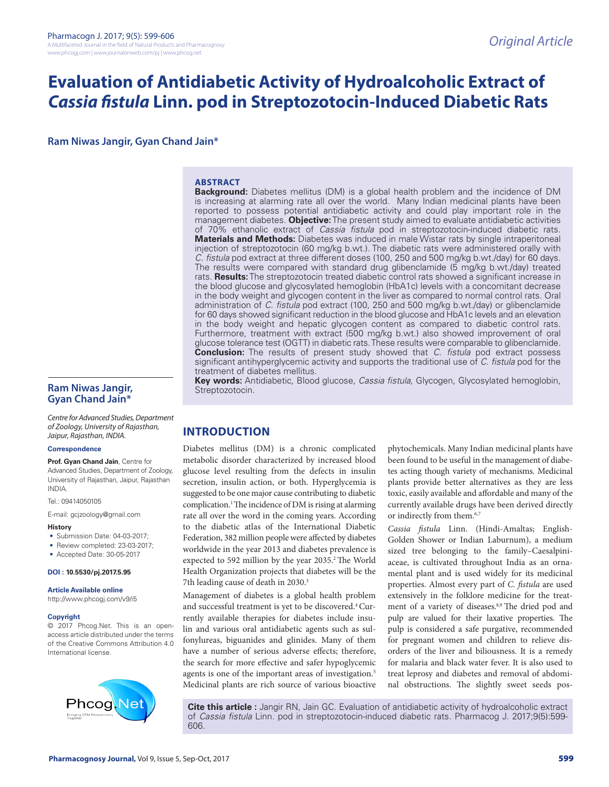# **Evaluation of Antidiabetic Activity of Hydroalcoholic Extract of**  *Cassia fistula* **Linn. pod in Streptozotocin-Induced Diabetic Rats**

**Ram Niwas Jangir, Gyan Chand Jain\***

#### **ABSTRACT**

**Background:** Diabetes mellitus (DM) is a global health problem and the incidence of DM is increasing at alarming rate all over the world. Many Indian medicinal plants have been reported to possess potential antidiabetic activity and could play important role in the management diabetes. **Objective:** The present study aimed to evaluate antidiabetic activities of 70% ethanolic extract of *Cassia fistula* pod in streptozotocin-induced diabetic rats. **Materials and Methods:** Diabetes was induced in male Wistar rats by single intraperitoneal injection of streptozotocin (60 mg/kg b.wt.). The diabetic rats were administered orally with *C. fistula* pod extract at three different doses (100, 250 and 500 mg/kg b.wt./day) for 60 days. The results were compared with standard drug glibenclamide (5 mg/kg b.wt./day) treated rats. **Results:** The streptozotocin treated diabetic control rats showed a significant increase in the blood glucose and glycosylated hemoglobin (HbA1c) levels with a concomitant decrease in the body weight and glycogen content in the liver as compared to normal control rats. Oral administration of *C. fistula* pod extract (100, 250 and 500 mg/kg b.wt./day) or glibenclamide for 60 days showed significant reduction in the blood glucose and HbA1c levels and an elevation in the body weight and hepatic glycogen content as compared to diabetic control rats. Furthermore, treatment with extract (500 mg/kg b.wt.) also showed improvement of oral glucose tolerance test (OGTT) in diabetic rats. These results were comparable to glibenclamide. **Conclusion:** The results of present study showed that *C. fistula* pod extract possess significant antihyperglycemic activity and supports the traditional use of *C. fistula* pod for the treatment of diabetes mellitus.

**Key words:** Antidiabetic, Blood glucose, *Cassia fistula,* Glycogen, Glycosylated hemoglobin, Streptozotocin.

### **Ram Niwas Jangir, Gyan Chand Jain\***

*Centre for Advanced Studies, Department of Zoology, University of Rajasthan, Jaipur, Rajasthan, INDIA.*

#### **Correspondence**

**Prof. Gyan Chand Jain**, Centre for Advanced Studies, Department of Zoology, University of Rajasthan, Jaipur, Rajasthan INDIA.

Tel.: 09414050105

E-mail: gcjzoology@gmail.com

- **History**
- Submission Date: 04-03-2017:
- Review completed: 23-03-2017;
- Accepted Date: 30-05-2017

#### **DOI : 10.5530/pj.2017.5.95**

**Article Available online** 

http://www.phcogj.com/v9/i5

#### **Copyright**

© 2017 Phcog.Net. This is an openaccess article distributed under the terms of the Creative Commons Attribution 4.0 International license.



**INTRODUCTION**

Diabetes mellitus (DM) is a chronic complicated metabolic disorder characterized by increased blood glucose level resulting from the defects in insulin secretion, insulin action, or both. Hyperglycemia is suggested to be one major cause contributing to diabetic complication.<sup>1</sup> The incidence of DM is rising at alarming rate all over the word in the coming years. According to the diabetic atlas of the International Diabetic Federation, 382 million people were affected by diabetes worldwide in the year 2013 and diabetes prevalence is expected to 592 million by the year 2035.<sup>2</sup> The World Health Organization projects that diabetes will be the 7th leading cause of death in 2030.<sup>3</sup>

Management of diabetes is a global health problem and successful treatment is yet to be discovered.<sup>4</sup> Currently available therapies for diabetes include insulin and various oral antidiabetic agents such as sulfonylureas, biguanides and glinides. Many of them have a number of serious adverse effects; therefore, the search for more effective and safer hypoglycemic agents is one of the important areas of investigation.<sup>5</sup> Medicinal plants are rich source of various bioactive phytochemicals. Many Indian medicinal plants have been found to be useful in the management of diabetes acting though variety of mechanisms. Medicinal plants provide better alternatives as they are less toxic, easily available and affordable and many of the currently available drugs have been derived directly or indirectly from them.6,7

*Cassia fistula* Linn. (Hindi-Amaltas; English-Golden Shower or Indian Laburnum), a medium sized tree belonging to the family–Caesalpiniaceae, is cultivated throughout India as an ornamental plant and is used widely for its medicinal properties. Almost every part of *C. fistula* are used extensively in the folklore medicine for the treatment of a variety of diseases.<sup>8,9</sup> The dried pod and pulp are valued for their laxative properties. The pulp is considered a safe purgative, recommended for pregnant women and children to relieve disorders of the liver and biliousness. It is a remedy for malaria and black water fever. It is also used to treat leprosy and diabetes and removal of abdominal obstructions. The slightly sweet seeds pos-

**Cite this article :** Jangir RN, Jain GC. Evaluation of antidiabetic activity of hydroalcoholic extract of *Cassia fistula* Linn. pod in streptozotocin-induced diabetic rats. Pharmacog J. 2017;9(5):599- 606.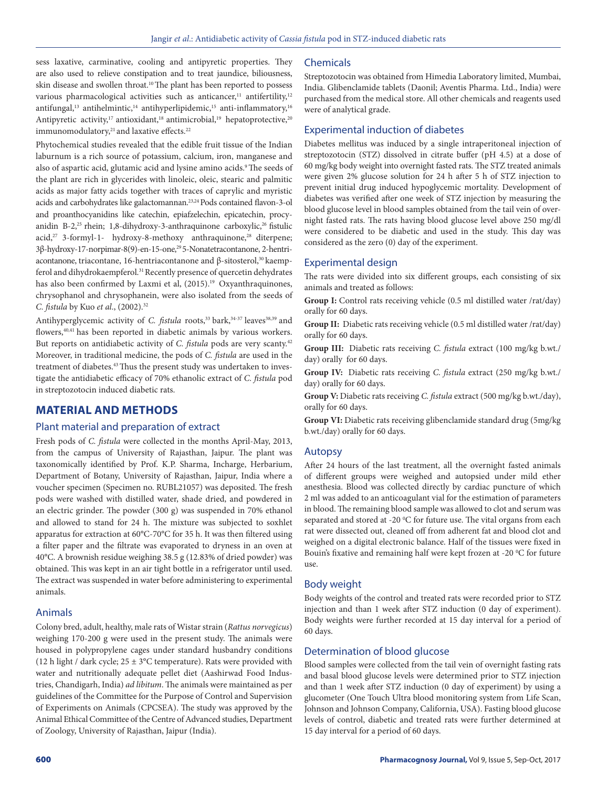sess laxative, carminative, cooling and antipyretic properties. They are also used to relieve constipation and to treat jaundice, biliousness, skin disease and swollen throat.<sup>10</sup> The plant has been reported to possess various pharmacological activities such as anticancer,<sup>11</sup> antifertility,<sup>12</sup> antifungal,<sup>13</sup> antihelmintic,<sup>14</sup> antihyperlipidemic,<sup>15</sup> anti-inflammatory,<sup>16</sup> Antipyretic activity,<sup>17</sup> antioxidant,<sup>18</sup> antimicrobial,<sup>19</sup> hepatoprotective,<sup>20</sup> immunomodulatory,<sup>21</sup> and laxative effects.<sup>22</sup>

Phytochemical studies revealed that the edible fruit tissue of the Indian laburnum is a rich source of potassium, calcium, iron, manganese and also of aspartic acid, glutamic acid and lysine amino acids.<sup>9</sup> The seeds of the plant are rich in glycerides with linoleic, oleic, stearic and palmitic acids as major fatty acids together with traces of caprylic and myristic acids and carbohydrates like galactomannan.23,24 Pods contained flavon-3-ol and proanthocyanidins like catechin, epiafzelechin, epicatechin, procyanidin B-2,<sup>25</sup> rhein; 1,8-dihydroxy-3-anthraquinone carboxylic,<sup>26</sup> fistulic acid,<sup>27</sup> 3-formyl-1- hydroxy-8-methoxy anthraquinone,<sup>28</sup> diterpene; 3β-hydroxy-17-norpimar-8(9)-en-15-one,<sup>29</sup>5-Nonatetracontanone, 2-hentriacontanone, triacontane, 16-hentriacontanone and β-sitosterol,<sup>30</sup> kaempferol and dihydrokaempferol.<sup>31</sup> Recently presence of quercetin dehydrates has also been confirmed by Laxmi et al, (2015).<sup>19</sup> Oxyanthraquinones, chrysophanol and chrysophanein, were also isolated from the seeds of *C. fistula* by Kuo *et al*., (2002).32

Antihyperglycemic activity of *C. fistula* roots,<sup>33</sup> bark,<sup>34-37</sup> leaves<sup>38,39</sup> and flowers,<sup>40,41</sup> has been reported in diabetic animals by various workers. But reports on antidiabetic activity of *C. fistula* pods are very scanty.<sup>42</sup> Moreover, in traditional medicine, the pods of *C. fistula* are used in the treatment of diabetes.<sup>43</sup> Thus the present study was undertaken to investigate the antidiabetic efficacy of 70% ethanolic extract of *C. fistula* pod in streptozotocin induced diabetic rats.

# **MATERIAL AND METHODS**

### Plant material and preparation of extract

Fresh pods of *C. fistula* were collected in the months April-May, 2013, from the campus of University of Rajasthan, Jaipur. The plant was taxonomically identified by Prof. K.P. Sharma, Incharge, Herbarium, Department of Botany, University of Rajasthan, Jaipur, India where a voucher specimen (Specimen no. RUBL21057) was deposited. The fresh pods were washed with distilled water, shade dried, and powdered in an electric grinder. The powder (300 g) was suspended in 70% ethanol and allowed to stand for 24 h. The mixture was subjected to soxhlet apparatus for extraction at 60°C-70°C for 35 h. It was then filtered using a filter paper and the filtrate was evaporated to dryness in an oven at 40°C. A brownish residue weighing 38.5 g (12.83% of dried powder) was obtained. This was kept in an air tight bottle in a refrigerator until used. The extract was suspended in water before administering to experimental animals.

# Animals

Colony bred, adult, healthy, male rats of Wistar strain (*Rattus norvegicus*) weighing 170-200 g were used in the present study. The animals were housed in polypropylene cages under standard husbandry conditions (12 h light / dark cycle;  $25 \pm 3$ °C temperature). Rats were provided with water and nutritionally adequate pellet diet (Aashirwad Food Industries, Chandigarh, India) *ad libitum*. The animals were maintained as per guidelines of the Committee for the Purpose of Control and Supervision of Experiments on Animals (CPCSEA). The study was approved by the Animal Ethical Committee of the Centre of Advanced studies, Department of Zoology, University of Rajasthan, Jaipur (India).

### Chemicals

Streptozotocin was obtained from Himedia Laboratory limited, Mumbai, India. Glibenclamide tablets (Daonil; Aventis Pharma. Ltd., India) were purchased from the medical store. All other chemicals and reagents used were of analytical grade.

# Experimental induction of diabetes

Diabetes mellitus was induced by a single intraperitoneal injection of streptozotocin (STZ) dissolved in citrate buffer (pH 4.5) at a dose of 60 mg/kg body weight into overnight fasted rats. The STZ treated animals were given 2% glucose solution for 24 h after 5 h of STZ injection to prevent initial drug induced hypoglycemic mortality. Development of diabetes was verified after one week of STZ injection by measuring the blood glucose level in blood samples obtained from the tail vein of overnight fasted rats. The rats having blood glucose level above 250 mg/dl were considered to be diabetic and used in the study. This day was considered as the zero (0) day of the experiment.

# Experimental design

The rats were divided into six different groups, each consisting of six animals and treated as follows:

Group I: Control rats receiving vehicle (0.5 ml distilled water /rat/day) orally for 60 days.

**Group II:** Diabetic rats receiving vehicle (0.5 ml distilled water /rat/day) orally for 60 days.

**Group III:** Diabetic rats receiving *C. fistula* extract (100 mg/kg b.wt./ day) orally for 60 days.

**Group IV:** Diabetic rats receiving *C. fistula* extract (250 mg/kg b.wt./ day) orally for 60 days.

**Group V:** Diabetic rats receiving *C. fistula* extract (500 mg/kg b.wt./day), orally for 60 days.

**Group VI:** Diabetic rats receiving glibenclamide standard drug (5mg/kg b.wt./day) orally for 60 days.

# Autopsy

After 24 hours of the last treatment, all the overnight fasted animals of different groups were weighed and autopsied under mild ether anesthesia. Blood was collected directly by cardiac puncture of which 2 ml was added to an anticoagulant vial for the estimation of parameters in blood. The remaining blood sample was allowed to clot and serum was separated and stored at -20  $\rm{^{\circ}C}$  for future use. The vital organs from each rat were dissected out, cleaned off from adherent fat and blood clot and weighed on a digital electronic balance. Half of the tissues were fixed in Bouin's fixative and remaining half were kept frozen at -20 °C for future use.

# Body weight

Body weights of the control and treated rats were recorded prior to STZ injection and than 1 week after STZ induction (0 day of experiment). Body weights were further recorded at 15 day interval for a period of 60 days.

# Determination of blood glucose

Blood samples were collected from the tail vein of overnight fasting rats and basal blood glucose levels were determined prior to STZ injection and than 1 week after STZ induction (0 day of experiment) by using a glucometer (One Touch Ultra blood monitoring system from Life Scan, Johnson and Johnson Company, California, USA). Fasting blood glucose levels of control, diabetic and treated rats were further determined at 15 day interval for a period of 60 days.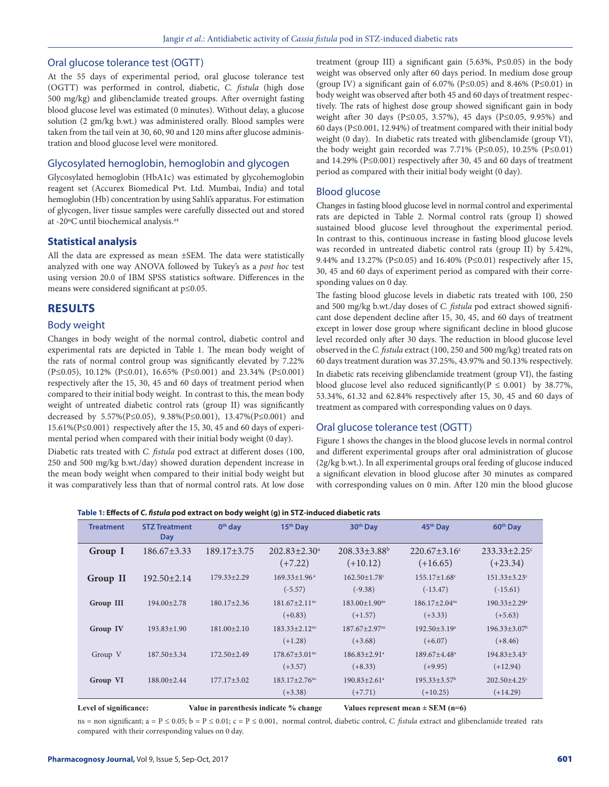#### Oral glucose tolerance test (OGTT)

At the 55 days of experimental period, oral glucose tolerance test (OGTT) was performed in control, diabetic, *C. fistula* (high dose 500 mg/kg) and glibenclamide treated groups. After overnight fasting blood glucose level was estimated (0 minutes). Without delay, a glucose solution (2 gm/kg b.wt.) was administered orally. Blood samples were taken from the tail vein at 30, 60, 90 and 120 mins after glucose administration and blood glucose level were monitored.

# Glycosylated hemoglobin, hemoglobin and glycogen

Glycosylated hemoglobin (HbA1c) was estimated by glycohemoglobin reagent set (Accurex Biomedical Pvt. Ltd. Mumbai, India) and total hemoglobin (Hb) concentration by using Sahli's apparatus. For estimation of glycogen, liver tissue samples were carefully dissected out and stored at -20ºC until biochemical analysis.44

#### **Statistical analysis**

All the data are expressed as mean ±SEM. The data were statistically analyzed with one way ANOVA followed by Tukey's as a *post hoc* test using version 20.0 of IBM SPSS statistics software. Differences in the means were considered significant at p≤0.05.

#### **RESULTS**

#### Body weight

Changes in body weight of the normal control, diabetic control and experimental rats are depicted in Table 1. The mean body weight of the rats of normal control group was significantly elevated by 7.22% (P≤0.05), 10.12% (P≤0.01), 16.65% (P≤0.001) and 23.34% (P≤0.001) respectively after the 15, 30, 45 and 60 days of treatment period when compared to their initial body weight. In contrast to this, the mean body weight of untreated diabetic control rats (group II) was significantly decreased by 5.57%(P≤0.05), 9.38%(P≤0.001), 13.47%(P≤0.001) and 15.61%(P≤0.001) respectively after the 15, 30, 45 and 60 days of experimental period when compared with their initial body weight (0 day).

Diabetic rats treated with *C. fistula* pod extract at different doses (100, 250 and 500 mg/kg b.wt./day) showed duration dependent increase in the mean body weight when compared to their initial body weight but it was comparatively less than that of normal control rats. At low dose treatment (group III) a significant gain (5.63%, P≤0.05) in the body weight was observed only after 60 days period. In medium dose group (group IV) a significant gain of 6.07% (P≤0.05) and 8.46% (P≤0.01) in body weight was observed after both 45 and 60 days of treatment respectively. The rats of highest dose group showed significant gain in body weight after 30 days (P≤0.05, 3.57%), 45 days (P≤0.05, 9.95%) and 60 days (P≤0.001, 12.94%) of treatment compared with their initial body weight (0 day). In diabetic rats treated with glibenclamide (group VI), the body weight gain recorded was 7.71% (P≤0.05), 10.25% (P≤0.01) and 14.29% (P≤0.001) respectively after 30, 45 and 60 days of treatment period as compared with their initial body weight (0 day).

#### Blood glucose

Changes in fasting blood glucose level in normal control and experimental rats are depicted in Table 2. Normal control rats (group I) showed sustained blood glucose level throughout the experimental period. In contrast to this, continuous increase in fasting blood glucose levels was recorded in untreated diabetic control rats (group II) by 5.42%, 9.44% and 13.27% (P≤0.05) and 16.40% (P≤0.01) respectively after 15, 30, 45 and 60 days of experiment period as compared with their corresponding values on 0 day.

The fasting blood glucose levels in diabetic rats treated with 100, 250 and 500 mg/kg b.wt./day doses of *C. fistula* pod extract showed significant dose dependent decline after 15, 30, 45, and 60 days of treatment except in lower dose group where significant decline in blood glucose level recorded only after 30 days. The reduction in blood glucose level observed in the *C. fistula* extract (100, 250 and 500 mg/kg) treated rats on 60 days treatment duration was 37.25%, 43.97% and 50.13% respectively.

In diabetic rats receiving glibenclamide treatment (group VI), the fasting blood glucose level also reduced significantly( $P \le 0.001$ ) by 38.77%, 53.34%, 61.32 and 62.84% respectively after 15, 30, 45 and 60 days of treatment as compared with corresponding values on 0 days.

#### Oral glucose tolerance test (OGTT)

Figure 1 shows the changes in the blood glucose levels in normal control and different experimental groups after oral administration of glucose (2g/kg b.wt.). In all experimental groups oral feeding of glucose induced a significant elevation in blood glucose after 30 minutes as compared with corresponding values on 0 min. After 120 min the blood glucose

#### **Table 1: Effects of** *C. fistula* **pod extract on body weight (g) in STZ-induced diabetic rats**

| <b>Treatment</b> | <b>STZ Treatment</b><br>Day | $0th$ day         | 15 <sup>th</sup> Day                         | 30 <sup>th</sup> Day                         | 45 <sup>th</sup> Day                         | 60 <sup>th</sup> Day                         |
|------------------|-----------------------------|-------------------|----------------------------------------------|----------------------------------------------|----------------------------------------------|----------------------------------------------|
| Group I          | $186.67 \pm 3.33$           | $189.17 \pm 3.75$ | $202.83 \pm 2.30^a$<br>$(+7.22)$             | $208.33 \pm 3.88$ <sup>b</sup><br>$(+10.12)$ | $220.67 \pm 3.16$ <sup>c</sup><br>$(+16.65)$ | $233.33 \pm 2.25$ <sup>c</sup><br>$(+23.34)$ |
| Group II         | $192.50 \pm 2.14$           | $179.33 + 2.29$   | $169.33 \pm 1.96$ <sup>a</sup><br>$(-5.57)$  | $162.50 + 1.78$ <sup>c</sup><br>$(-9.38)$    | $155.17 \pm 1.68$ <sup>c</sup><br>$(-13.47)$ | $151.33 \pm 3.23$ <sup>c</sup><br>$(-15.61)$ |
| Group III        | $194.00 \pm 2.78$           | $180.17 \pm 2.36$ | $181.67 + 2.11$ <sup>ns</sup><br>$(+0.83)$   | $183.00 \pm 1.90$ <sup>ms</sup><br>$(+1.57)$ | $186.17 + 2.04$ <sup>ns</sup><br>$(+3.33)$   | $190.33 + 2.29^a$<br>$(+5.63)$               |
| Group IV         | $193.83 \pm 1.90$           | $181.00 \pm 2.10$ | $183.33 + 2.12$ <sup>ns</sup><br>$(+1.28)$   | $187.67 + 2.97$ <sup>ns</sup><br>$(+3.68)$   | $192.50 + 3.19a$<br>$(+6.07)$                | $196.33 + 3.07^b$<br>$(+8.46)$               |
| Group V          | $187.50 \pm 3.34$           | 172.50±2.49       | $178.67 \pm 3.01$ <sup>ns</sup><br>$(+3.57)$ | $186.83 + 2.91a$<br>$(+8.33)$                | $189.67 + 4.48a$<br>$(+9.95)$                | $194.83 \pm 3.43$ <sup>c</sup><br>$(+12.94)$ |
| Group VI         | $188.00 \pm 2.44$           | $177.17 \pm 3.02$ | $183.17 + 2.76$ <sup>ns</sup><br>$(+3.38)$   | $190.83 + 2.61$ <sup>a</sup><br>$(+7.71)$    | $195.33 + 3.57^b$<br>$(+10.25)$              | $202.50 + 4.25$ <sup>c</sup><br>$(+14.29)$   |

Level of significance: Value in parenthesis indicate % change Values represent mean  $\pm$  SEM (n=6)

 $ns =$  non significant;  $a = P \le 0.05$ ;  $b = P \le 0.01$ ;  $c = P \le 0.001$ , normal control, diabetic control, *C. fistula* extract and glibenclamide treated rats compared with their corresponding values on 0 day.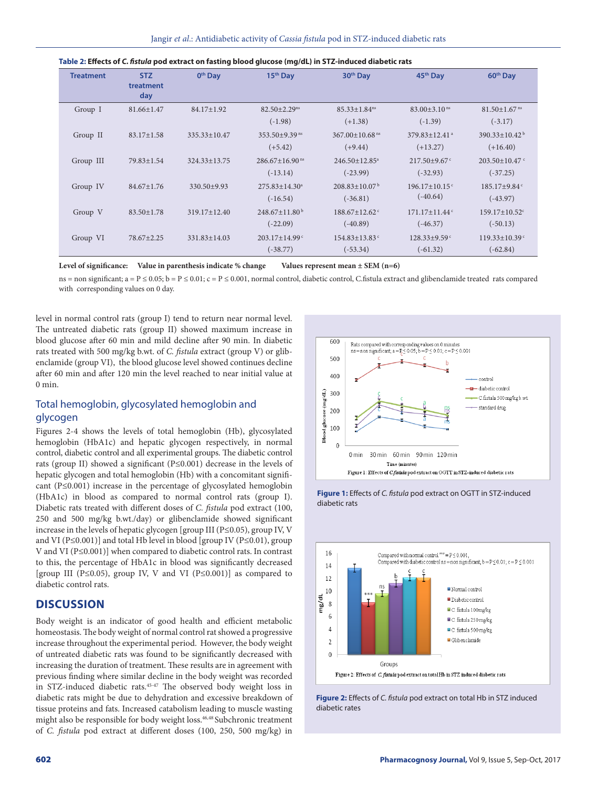| <b>Treatment</b> | <b>STZ</b><br>treatment<br>day | 0 <sup>th</sup> Day | 15 <sup>th</sup> Day             | 30 <sup>th</sup> Day            | 45 <sup>th</sup> Day            | 60 <sup>th</sup> Day            |
|------------------|--------------------------------|---------------------|----------------------------------|---------------------------------|---------------------------------|---------------------------------|
| Group I          | 81.66±1.47                     | 84.17±1.92          | $82.50 \pm 2.29$ <sup>ns</sup>   | $85.33 \pm 1.84$ <sup>ns</sup>  | $83.00 + 3.10$ ns               | $81.50 \pm 1.67$ <sup>ns</sup>  |
|                  |                                |                     | $(-1.98)$                        | $(+1.38)$                       | $(-1.39)$                       | $(-3.17)$                       |
| Group II         | $83.17 \pm 1.58$               | $335.33 + 10.47$    | $353.50 + 9.39$ <sup>ns</sup>    | $367.00 + 10.68$ <sup>ns</sup>  | $379.83 \pm 12.41$ <sup>a</sup> | $390.33 \pm 10.42^{\mathrm{b}}$ |
|                  |                                |                     | $(+5.42)$                        | $(+9.44)$                       | $(+13.27)$                      | $(+16.40)$                      |
| Group III        | 79.83±1.54                     | $324.33 + 13.75$    | $286.67 \pm 16.90$ <sup>ns</sup> | $246.50 + 12.85$ <sup>a</sup>   | $217.50 + 9.67$ °               | $203.50 \pm 10.47$ °            |
|                  |                                |                     | $(-13.14)$                       | $(-23.99)$                      | $(-32.93)$                      | $(-37.25)$                      |
| Group IV         | $84.67 \pm 1.76$               | 330.50±9.93         | $275.83 + 14.30a$                | $208.83 \pm 10.07^{\mathrm{b}}$ | $196.17 \pm 10.15$ <sup>c</sup> | $185.17 \pm 9.84$ <sup>c</sup>  |
|                  |                                |                     | $(-16.54)$                       | $(-36.81)$                      | $(-40.64)$                      | $(-43.97)$                      |
| Group V          | $83.50 \pm 1.78$               | $319.17 \pm 12.40$  | $248.67 \pm 11.80^{\mathrm{b}}$  | $188.67 \pm 12.62$ <sup>c</sup> | $171.17 \pm 11.44$ <sup>c</sup> | $159.17 \pm 10.52$ <sup>c</sup> |
|                  |                                |                     | $(-22.09)$                       | $(-40.89)$                      | $(-46.37)$                      | $(-50.13)$                      |
| Group VI         | 78.67±2.25                     | $331.83 \pm 14.03$  | $203.17 \pm 14.99$ <sup>c</sup>  | $154.83 \pm 13.83$ <sup>c</sup> | $128.33 \pm 9.59$ <sup>c</sup>  | $119.33 \pm 10.39$ <sup>c</sup> |
|                  |                                |                     | $(-38.77)$                       | $(-53.34)$                      | $(-61.32)$                      | $(-62.84)$                      |

|  | Table 2: Effects of C. fistula pod extract on fasting blood glucose (mg/dL) in STZ-induced diabetic rats |
|--|----------------------------------------------------------------------------------------------------------|
|  |                                                                                                          |

Level of significance: Value in parenthesis indicate % change Values represent mean ± SEM (n=6)

 $ns = non significant; a = P \le 0.05; b = P \le 0.01; c = P \le 0.001$ , normal control, diabetic control, C.fistula extract and glibenclamide treated rats compared with corresponding values on 0 day.

level in normal control rats (group I) tend to return near normal level. The untreated diabetic rats (group II) showed maximum increase in blood glucose after 60 min and mild decline after 90 min. In diabetic rats treated with 500 mg/kg b.wt. of *C. fistula* extract (group V) or glibenclamide (group VI), the blood glucose level showed continues decline after 60 min and after 120 min the level reached to near initial value at 0 min.

# Total hemoglobin, glycosylated hemoglobin and glycogen

Figures 2-4 shows the levels of total hemoglobin (Hb), glycosylated hemoglobin (HbA1c) and hepatic glycogen respectively, in normal control, diabetic control and all experimental groups. The diabetic control rats (group II) showed a significant (P≤0.001) decrease in the levels of hepatic glycogen and total hemoglobin (Hb) with a concomitant significant (P≤0.001) increase in the percentage of glycosylated hemoglobin (HbA1c) in blood as compared to normal control rats (group I). Diabetic rats treated with different doses of *C. fistula* pod extract (100, 250 and 500 mg/kg b.wt./day) or glibenclamide showed significant increase in the levels of hepatic glycogen [group III (P≤0.05), group IV, V and VI (P≤0.001)] and total Hb level in blood [group IV (P≤0.01), group V and VI (P≤0.001)] when compared to diabetic control rats. In contrast to this, the percentage of HbA1c in blood was significantly decreased [group III (P≤0.05), group IV, V and VI (P≤0.001)] as compared to diabetic control rats.

# **DISCUSSION**

Body weight is an indicator of good health and efficient metabolic homeostasis. The body weight of normal control rat showed a progressive increase throughout the experimental period. However, the body weight of untreated diabetic rats was found to be significantly decreased with increasing the duration of treatment. These results are in agreement with previous finding where similar decline in the body weight was recorded in STZ-induced diabetic rats.45-47 The observed body weight loss in diabetic rats might be due to dehydration and excessive breakdown of tissue proteins and fats. Increased catabolism leading to muscle wasting might also be responsible for body weight loss.<sup>46,48</sup> Subchronic treatment of *C. fistula* pod extract at different doses (100, 250, 500 mg/kg) in







**Figure 2:** Effects of *C. fistula* pod extract on total Hb in STZ induced diabetic rates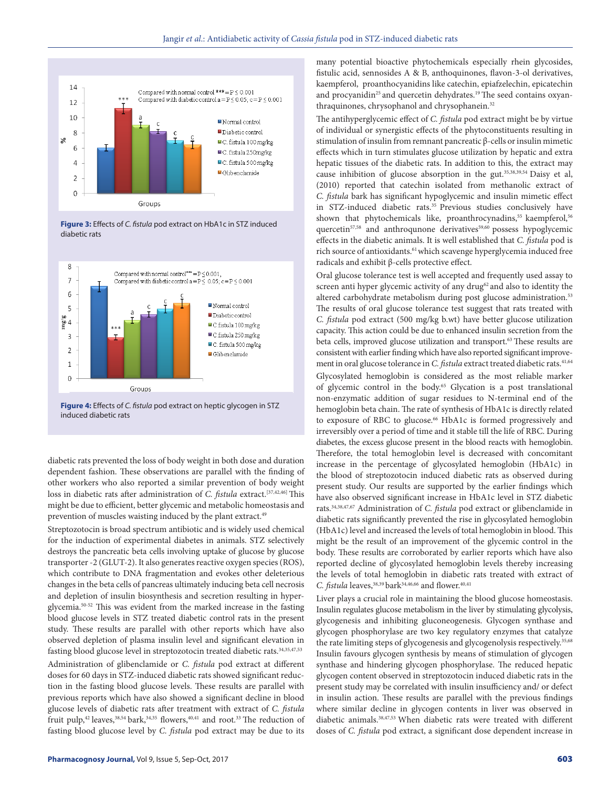

**Figure 3:** Effects of *C. fistula* pod extract on HbA1c in STZ induced diabetic rats



**Figure 4:** Effects of *C. fistula* pod extract on heptic glycogen in STZ induced diabetic rats

diabetic rats prevented the loss of body weight in both dose and duration dependent fashion. These observations are parallel with the finding of other workers who also reported a similar prevention of body weight loss in diabetic rats after administration of *C. fistula* extract.[37,42,46] This might be due to efficient, better glycemic and metabolic homeostasis and prevention of muscles waisting induced by the plant extract.<sup>49</sup>

Streptozotocin is broad spectrum antibiotic and is widely used chemical for the induction of experimental diabetes in animals. STZ selectively destroys the pancreatic beta cells involving uptake of glucose by glucose transporter -2 (GLUT-2). It also generates reactive oxygen species (ROS), which contribute to DNA fragmentation and evokes other deleterious changes in the beta cells of pancreas ultimately inducing beta cell necrosis and depletion of insulin biosynthesis and secretion resulting in hyperglycemia.50-52 This was evident from the marked increase in the fasting blood glucose levels in STZ treated diabetic control rats in the present study. These results are parallel with other reports which have also observed depletion of plasma insulin level and significant elevation in fasting blood glucose level in streptozotocin treated diabetic rats.<sup>34,35,47,53</sup> Administration of glibenclamide or *C. fistula* pod extract at different doses for 60 days in STZ-induced diabetic rats showed significant reduction in the fasting blood glucose levels. These results are parallel with previous reports which have also showed a significant decline in blood glucose levels of diabetic rats after treatment with extract of *C. fistula* fruit pulp,<sup>42</sup> leaves,<sup>38,54</sup> bark,<sup>34,35</sup> flowers,<sup>40,41</sup> and root.<sup>33</sup> The reduction of fasting blood glucose level by *C. fistula* pod extract may be due to its

many potential bioactive phytochemicals especially rhein glycosides, fistulic acid, sennosides A & B, anthoquinones, flavon-3-ol derivatives, kaempferol, proanthocyanidins like catechin, epiafzelechin, epicatechin and procyanidin<sup>25</sup> and quercetin dehydrates.<sup>19</sup> The seed contains oxyanthraquinones, chrysophanol and chrysophanein.<sup>32</sup>

The antihyperglycemic effect of *C. fistula* pod extract might be by virtue of individual or synergistic effects of the phytoconstituents resulting in stimulation of insulin from remnant pancreatic β-cells or insulin mimetic effects which in turn stimulates glucose utilization by hepatic and extra hepatic tissues of the diabetic rats. In addition to this, the extract may cause inhibition of glucose absorption in the gut.<sup>35,38,39,54</sup> Daisy et al, (2010) reported that catechin isolated from methanolic extract of *C. fistula* bark has significant hypoglycemic and insulin mimetic effect in STZ-induced diabetic rats.<sup>35</sup> Previous studies conclusively have shown that phytochemicals like, proanthrocynadins,<sup>55</sup> kaempferol,<sup>56</sup> quercetin<sup>57,58</sup> and anthroqunone derivatives<sup>59,60</sup> possess hypoglycemic effects in the diabetic animals. It is well established that *C. fistula* pod is rich source of antioxidants.<sup>61</sup> which scavenge hyperglycemia induced free radicals and exhibit β-cells protective effect.

Oral glucose tolerance test is well accepted and frequently used assay to screen anti hyper glycemic activity of any drug<sup>62</sup> and also to identity the altered carbohydrate metabolism during post glucose administration.<sup>53</sup> The results of oral glucose tolerance test suggest that rats treated with *C. fistula* pod extract (500 mg/kg b.wt) have better glucose utilization capacity. This action could be due to enhanced insulin secretion from the beta cells, improved glucose utilization and transport.<sup>63</sup> These results are consistent with earlier finding which have also reported significant improvement in oral glucose tolerance in *C. fistula* extract treated diabetic rats.<sup>41,64</sup>

Glycosylated hemoglobin is considered as the most reliable marker of glycemic control in the body.<sup>65</sup> Glycation is a post translational non-enzymatic addition of sugar residues to N-terminal end of the hemoglobin beta chain. The rate of synthesis of HbA1c is directly related to exposure of RBC to glucose.<sup>66</sup> HbA1c is formed progressively and irreversibly over a period of time and it stable till the life of RBC. During diabetes, the excess glucose present in the blood reacts with hemoglobin. Therefore, the total hemoglobin level is decreased with concomitant increase in the percentage of glycosylated hemoglobin (HbA1c) in the blood of streptozotocin induced diabetic rats as observed during present study. Our results are supported by the earlier findings which have also observed significant increase in HbA1c level in STZ diabetic rats.34,38,47,67 Administration of *C. fistula* pod extract or glibenclamide in diabetic rats significantly prevented the rise in glycosylated hemoglobin (HbA1c) level and increased the levels of total hemoglobin in blood. This might be the result of an improvement of the glycemic control in the body. These results are corroborated by earlier reports which have also reported decline of glycosylated hemoglobin levels thereby increasing the levels of total hemoglobin in diabetic rats treated with extract of *C. fistula leaves*,<sup>38,39</sup> bark<sup>34,46,66</sup> and flower.<sup>40,41</sup>

Liver plays a crucial role in maintaining the blood glucose homeostasis. Insulin regulates glucose metabolism in the liver by stimulating glycolysis, glycogenesis and inhibiting gluconeogenesis. Glycogen synthase and glycogen phosphorylase are two key regulatory enzymes that catalyze the rate limiting steps of glycogenesis and glycogenolysis respectively.<sup>35,68</sup> Insulin favours glycogen synthesis by means of stimulation of glycogen synthase and hindering glycogen phosphorylase. The reduced hepatic glycogen content observed in streptozotocin induced diabetic rats in the present study may be correlated with insulin insufficiency and/ or defect in insulin action. These results are parallel with the previous findings where similar decline in glycogen contents in liver was observed in diabetic animals.<sup>38,47,53</sup> When diabetic rats were treated with different doses of *C. fistula* pod extract, a significant dose dependent increase in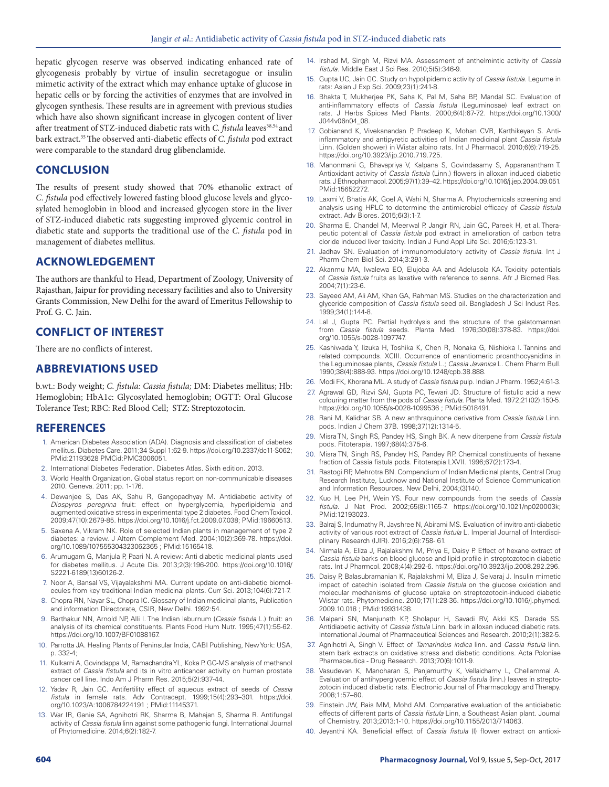hepatic glycogen reserve was observed indicating enhanced rate of glycogenesis probably by virtue of insulin secretagogue or insulin mimetic activity of the extract which may enhance uptake of glucose in hepatic cells or by forcing the activities of enzymes that are involved in glycogen synthesis. These results are in agreement with previous studies which have also shown significant increase in glycogen content of liver after treatment of STZ-induced diabetic rats with *C. fistula* leaves<sup>38,54</sup> and bark extract.35 The observed anti-diabetic effects of *C. fistula* pod extract were comparable to the standard drug glibenclamide.

# **CONCLUSION**

The results of present study showed that 70% ethanolic extract of *C. fistula* pod effectively lowered fasting blood glucose levels and glycosylated hemoglobin in blood and increased glycogen store in the liver of STZ-induced diabetic rats suggesting improved glycemic control in diabetic state and supports the traditional use of the *C. fistula* pod in management of diabetes mellitus.

# **ACKNOWLEDGEMENT**

The authors are thankful to Head, Department of Zoology, University of Rajasthan, Jaipur for providing necessary facilities and also to University Grants Commission, New Delhi for the award of Emeritus Fellowship to Prof. G. C. Jain.

# **CONFLICT OF INTEREST**

There are no conflicts of interest.

# **ABBREVIATIONS USED**

b.wt.: Body weight; *C. fistula: Cassia fistula;* DM: Diabetes mellitus; Hb: Hemoglobin; HbA1c: Glycosylated hemoglobin; OGTT: Oral Glucose Tolerance Test; RBC: Red Blood Cell; STZ: Streptozotocin.

# **REFERENCES**

- 1. American Diabetes Association (ADA). Diagnosis and classification of diabetes mellitus. Diabetes Care. 2011;34 Suppl 1:62-9. https://doi.org/10.2337/dc11-S062; PMid:21193628 PMCid:PMC3006051.
- 2. International Diabetes Federation. Diabetes Atlas. Sixth edition. 2013.
- 3. World Health Organization. Global status report on non-communicable diseases 2010. Geneva. 2011; pp. 1-176.
- 4. Dewanjee S, Das AK, Sahu R, Gangopadhyay M. Antidiabetic activity of *Diospyros peregrina* fruit: effect on hyperglycemia, hyperlipidemia and augmented oxidative stress in experimental type 2 diabetes. Food Chem Toxicol. 2009;47(10):2679-85. https://doi.org/10.1016/j.fct.2009.07.038; PMid:19660513.
- 5. Saxena A, Vikram NK. Role of selected Indian plants in management of type 2 diabetes: a review. J Altern Complement Med. 2004;10(2):369-78. https://doi. org/10.1089/107555304323062365 ; PMid:15165418.
- 6. Arumugam G, Manjula P, Paari N. A review: Anti diabetic medicinal plants used for diabetes mellitus. J Acute Dis. 2013;2(3):196-200. https://doi.org/10.1016/ S2221-6189(13)60126-2.
- 7. Noor A, Bansal VS, Vijayalakshmi MA. Current update on anti-diabetic biomolecules from key traditional Indian medicinal plants. Curr Sci. 2013;104(6):721-7.
- 8. Chopra RN, Nayar SL, Chopra IC. Glossary of Indian medicinal plants, Publication and information Directorate, CSIR, New Delhi. 1992:54.
- 9. Barthakur NN, Arnold NP, Alli I. The Indian laburnum (*Cassia fistula* L.) fruit: an analysis of its chemical constituents. Plants Food Hum Nutr. 1995;47(1):55-62. https://doi.org/10.1007/BF01088167.
- 10. Parrotta JA. Healing Plants of Peninsular India, CABI Publishing, New York: USA, p. 332-4;
- 11. Kulkarni A, Govindappa M, Ramachandra YL, Koka P. GC-MS analysis of methanol extract of *Cassia fistula* and its in vitro anticancer activity on human prostate cancer cell line. Indo Am J Pharm Res. 2015;5(2):937-44.
- 12. Yadav R, Jain GC. Antifertility effect of aqueous extract of seeds of *Cassia fistula* in female rats. Adv Contracept. 1999;15(4):293–301. https://doi. org/10.1023/A:1006784224191 ; PMid:11145371.
- 13. War IR, Ganie SA, Agnihotri RK, Sharma B, Mahajan S, Sharma R. Antifungal activity of *Cassia fistula* linn against some pathogenic fungi. International Journal of Phytomedicine. 2014;6(2):182-7.
- 14. Irshad M, Singh M, Rizvi MA. Assessment of anthelmintic activity of *Cassia fistula*. Middle East J Sci Res. 2010;5(5):346-9.
- 15. Gupta UC, Jain GC. Study on hypolipidemic activity of *Cassia fistula*. Legume in rats: Asian J Exp Sci. 2009;23(1):241-8.
- 16. Bhakta T, Mukherjee PK, Saha K, Pal M, Saha BP, Mandal SC. Evaluation of anti-inflammatory effects of *Cassia fistula* (Leguminosae) leaf extract on rats. J Herbs Spices Med Plants. 2000;6(4):67-72. https://doi.org/10.1300/ J044v06n04\_08.
- 17. Gobianand K, Vivekanandan P, Pradeep K, Mohan CVR, Karthikeyan S. Antiinflammatory and antipyretic activities of Indian medicinal plant *Cassia fistula* Linn. (Golden shower) in Wistar albino rats. Int J Pharmacol. 2010;6(6):719-25. https://doi.org/10.3923/ijp.2010.719.725.
- 18. Manonmani G, Bhavapriya V, Kalpana S, Govindasamy S, Apparanantham T. Antioxidant activity of *Cassia fistula* (Linn.) flowers in alloxan induced diabetic rats. J Ethnopharmacol. 2005;97(1):39–42. https://doi.org/10.1016/j.jep.2004.09.051. PMid:15652272.
- 19. Laxmi V, Bhatia AK, Goel A, Wahi N, Sharma A. Phytochemicals screening and analysis using HPLC to determine the antimicrobial efficacy of *Cassia fistula* extract. Adv Biores. 2015;6(3):1-7.
- 20. Sharma E, Chandel M, Meerwal P, Jangir RN, Jain GC, Pareek H, et al. Therapeutic potential of *Cassia fistula* pod extract in amelioration of carbon tetra cloride induced liver toxicity. Indian J Fund Appl Life Sci. 2016;6:123-31.
- 21. Jadhav SN. Evaluation of immunomodulatory activity of *Cassia fistula*. Int J Pharm Chem Biol Sci. 2014;3:291-3.
- 22. Akanmu MA, Iwalewa EO, Elujoba AA and Adelusola KA. Toxicity potentials of *Cassia fistula* fruits as laxative with reference to senna. Afr J Biomed Res. 2004;7(1):23-6.
- 23. Sayeed AM, Ali AM, Khan GA, Rahman MS. Studies on the characterization and glyceride composition of *Cassia fistula* seed oil. Bangladesh J Sci Indust Res. 1999;34(1):144-8.
- 24. Lal J, Gupta PC. Partial hydrolysis and the structure of the galatomannan from *Cassia fistula* seeds. Planta Med. 1976;30(08):378-83. https://doi. org/10.1055/s-0028-1097747.
- 25. Kashiwada Y, Iizuka H, Toshika K, Chen R, Nonaka G, Nishioka I. Tannins and related compounds. XCIII. Occurrence of enantiomeric proanthocyanidins in the Leguminosae plants, *Cassia fistula* L.; *Cassia Javanica* L. Chem Pharm Bull. 1990;38(4):888-93. https://doi.org/10.1248/cpb.38.888.
- 26. Modi FK, Khorana ML. A study of *Cassia fistula* pulp. Indian J Pharm. 1952;4:61-3.
- 27. Agrawal GD, Rizvi SAI, Gupta PC, Tewari JD. Structure of fistulic acid a new colouring matter from the pods of *Cassia fistula*. Planta Med. 1972;21(02):150-5. https://doi.org/10.1055/s-0028-1099536 ; PMid:5018491.
- 28. Rani M, Kalidhar SB. A new anthraquinone derivative from *Cassia fistula* Linn. pods. Indian J Chem 37B. 1998;37(12):1314-5.
- 29. Misra TN, Singh RS, Pandey HS, Singh BK. A new diterpene from *Cassia fistula* pods. Fitoterapia. 1997;68(4):375-6.
- 30. Misra TN, Singh RS, Pandey HS, Pandey RP. Chemical constituents of hexane fraction of Cassia fistula pods. Fitoterapia LXVII. 1996;67(2):173-4.
- 31. Rastogi RP, Mehrotra BN. Compendium of Indian Medicinal plants, Central Drug Research Institute, Lucknow and National Institute of Science Communication and Information Resources, New Delhi, 2004;(3)140.
- 32. Kuo H, Lee PH, Wein YS. Four new compounds from the seeds of *Cassia fistula*. J Nat Prod. 2002;65(8):1165-7. https://doi.org/10.1021/np020003k; PMid:12193023.
- 33. Balraj S, Indumathy R, Jayshree N, Abirami MS. Evaluation of invitro anti-diabetic activity of various root extract of *Cassia fistula* L. Imperial Journal of Interdisciplinary Research (IJIR). 2016;2(6):758- 61.
- 34. Nirmala A, Eliza J, Rajalakshmi M, Priya E, Daisy P. Effect of hexane extract of *Cassia fistula* barks on blood glucose and lipid profile in streptozotocin diabetic rats. Int J Pharmcol. 2008;4(4):292-6. https://doi.org/10.3923/ijp.2008.292.296.
- 35. Daisy P, Balasubramanian K, Rajalakshmi M, Eliza J, Selvaraj J. Insulin mimetic impact of catechin isolated from *Cassia fistula* on the glucose oxidation and molecular mechanisms of glucose uptake on streptozotocin-induced diabetic Wistar rats. Phytomedicine. 2010;17(1):28-36. https://doi.org/10.1016/j.phymed. 2009.10.018 ; PMid:19931438.
- 36. Malpani SN, Manjunath KP, Sholapur H, Savadi RV, Akki KS, Darade SS. Antidiabetic activity of *Cassia fistula* Linn. bark in alloxan induced diabetic rats. International Journal of Pharmaceutical Sciences and Research. 2010;2(1):382-5.
- 37. Agnihotri A, Singh V. Effect of *Tamarindus indica* linn. and *Cassia fistula* linn. stem bark extracts on oxidative stress and diabetic conditions. Acta Poloniae Pharmaceutica - Drug Research. 2013;70(6):1011-9.
- 38. Vasudevan K, Manoharan S, Panjamurthy K, Vellaichamy L, Chellammal A. Evaluation of antihyperglycemic effect of *Cassia fistula* (linn.) leaves in streptozotocin induced diabetic rats. Electronic Journal of Pharmacology and Therapy. 2008;1:57–60.
- Einstein JW, Rais MM, Mohd AM. Comparative evaluation of the antidiabetic effects of different parts of *Cassia fistula* Linn, a Southeast Asian plant. Journal of Chemistry. 2013;2013:1-10. https://doi.org/10.1155/2013/714063.
- 40. Jeyanthi KA. Beneficial effect of *Cassia fistula* (l) flower extract on antioxi-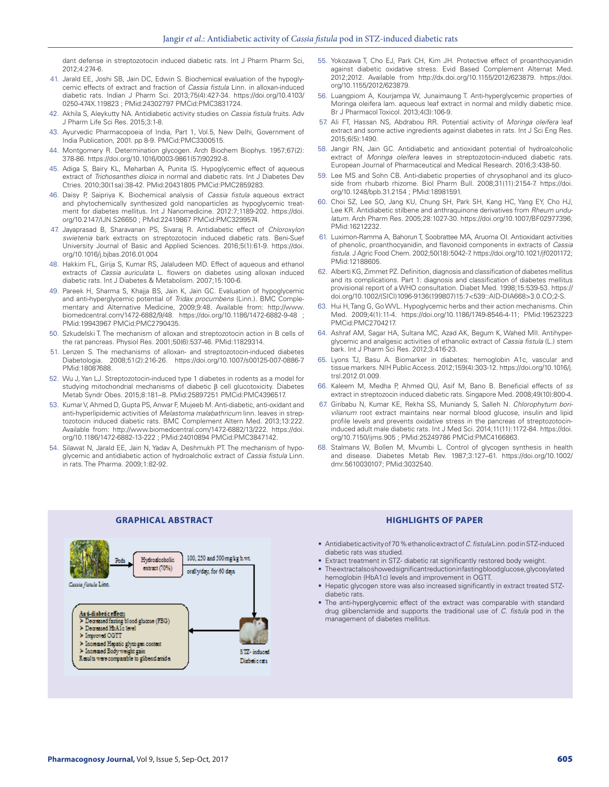dant defense in streptozotocin induced diabetic rats. Int J Pharm Pharm Sci, 2012;4:274-6.

- 41. Jarald EE, Joshi SB, Jain DC, Edwin S. Biochemical evaluation of the hypoglycemic effects of extract and fraction of *Cassia fistula* Linn. in alloxan-induced diabetic rats. Indian J Pharm Sci. 2013;75(4):427-34. https://doi.org/10.4103/ 0250-474X.119823 ; PMid:24302797 PMCid:PMC3831724.
- 42. Akhila S, Aleykutty NA. Antidiabetic activity studies on *Cassia fistula* fruits. Adv J Pharm Life Sci Res. 2015;3:1-8.
- 43. Ayurvedic Pharmacopoeia of India, Part 1, Vol.5, New Delhi, Government of India Publication, 2001. pp 8-9. PMCid:PMC3300515.
- 44. Montgomery R. Determination glycogen. Arch Biochem Biophys. 1957;67(2): 378-86. https://doi.org/10.1016/0003-9861(57)90292-8.
- 45. Adiga S, Bairy KL, Meharban A, Punita IS. Hypoglycemic effect of aqueous extract of *Trichosanthes dioica* in normal and diabetic rats. Int J Diabetes Dev Ctries. 2010;30(1sa):38-42. PMid:20431805 PMCid:PMC2859283.
- 46. Daisy P, Saipriya K. Biochemical analysis of *Cassia fistula* aqueous extract and phytochemically synthesized gold nanoparticles as hypoglycemic treatment for diabetes mellitus. Int J Nanomedicine. 2012:7;1189-202. https://doi. org/10.2147/IJN.S26650 ; PMid:22419867 PMCid:PMC3299574.
- 47. Jayaprasad B, Sharavanan PS, Sivaraj R. Antidiabetic effect of *Chloroxylon swietenia* bark extracts on streptozotocin induced diabetic rats. Beni-Suef University Journal of Basic and Applied Sciences. 2016;5(1):61-9. https://doi. org/10.1016/j.bjbas.2016.01.004
- 48. Hakkim FL, Girija S, Kumar RS, Jalaludeen MD. Effect of aqueous and ethanol extracts of *Cassia auriculata* L. flowers on diabetes using alloxan induced diabetic rats. Int J Diabetes & Metabolism. 2007;15:100-6.
- 49. Pareek H, Sharma S, Khajja BS, Jain K, Jain GC. Evaluation of hypoglycemic and anti-hyperglycemic potential of *Tridax procumbens* (Linn.). BMC Complementary and Alternative Medicine, 2009;9:48. Available from: http://www. biomedcentral.com/1472-6882/9/48. https://doi.org/10.1186/1472-6882-9-48 ; PMid:19943967 PMCid:PMC2790435.
- 50. Szkudelski T. The mechanism of alloxan and streptozotocin action in B cells of the rat pancreas. Physiol Res. 2001;50(6):537-46. PMid:11829314.
- 51. Lenzen S. The mechanisms of alloxan- and streptozotocin-induced diabetes Diabetologia. 2008;51(2):216-26. https://doi.org/10.1007/s00125-007-0886-7 PMid:18087688.
- 52. Wu J, Yan LJ. Streptozotocin-induced type 1 diabetes in rodents as a model for studying mitochondrial mechanisms of diabetic β cell glucotoxicity. Diabetes Metab Syndr Obes. 2015;8:181–8. PMid:25897251 PMCid:PMC4396517.
- 53. Kumar V, Ahmed D, Gupta PS, Anwar F, Mujeeb M. Anti-diabetic, anti-oxidant and anti-hyperlipidemic activities of *Melastoma malabathricum* linn. leaves in streptozotocin induced diabetic rats. BMC Complement Altern Med. 2013;13:222. Available from: http://www.biomedcentral.com/1472-6882/13/222. https://doi. org/10.1186/1472-6882-13-222 ; PMid:24010894 PMCid:PMC3847142.
- 54. Silawat N, Jarald EE, Jain N, Yadav A, Deshmukh PT. The mechanism of hypoglycemic and antidiabetic action of hydroalcholic extract of *Cassia fistula* Linn. in rats. The Pharma. 2009;1:82-92.
- 55. Yokozawa T, Cho EJ, Park CH, Kim JH. Protective effect of proanthocyanidin against diabetic oxidative stress. Evid Based Complement Alternat Med. 2012;2012. Available from http://dx.doi.org/10.1155/2012/623879. https://doi. org/10.1155/2012/623879.
- 56. Luangpiom A, Kourjampa W, Junaimaung T. Anti-hyperglycemic properties of Moringa oleifera lam. aqueous leaf extract in normal and mildly diabetic mice. Br J Pharmacol Toxicol. 2013;4(3):106-9.
- 57. Ali FT, Hassan NS, Abdrabou RR. Potential activity of *Moringa oleifera* leaf extract and some active ingredients against diabetes in rats. Int J Sci Eng Res. 2015;6(5):1490.
- 58. Jangir RN, Jain GC. Antidiabetic and antioxidant potential of hydroalcoholic extract of *Moringa oleifera* leaves in streptozotocin-induced diabetic rats. European Journal of Pharmaceutical and Medical Research. 2016;3:438-50.
- 59. Lee MS and Sohn CB. Anti-diabetic properties of chrysophanol and its glucoside from rhubarb rhizome. Biol Pharm Bull. 2008;31(11):2154-7. https://doi. org/10.1248/bpb.31.2154 ; PMid:18981591.
- 60. Choi SZ, Lee SO, Jang KU, Chung SH, Park SH, Kang HC, Yang EY, Cho HJ, Lee KR. Antidiabetic stilbene and anthraquinone derivatives from *Rheum undulatum*. Arch Pharm Res. 2005;28:1027-30. https://doi.org/10.1007/BF02977396; PMid:16212232.
- 61. Luximon-Ramma A, Bahorun T, Soobrattee MA, Aruoma OI. Antioxidant activities of phenolic, proanthocyanidin, and flavonoid components in extracts of *Cassia fistula*. J Agric Food Chem. 2002;50(18):5042-7. https://doi.org/10.1021/jf0201172; PMid:12188605.
- 62. Alberti KG, Zimmet PZ. Definition, diagnosis and classification of diabetes mellitus and its complications. Part 1: diagnosis and classification of diabetes mellitus provisional report of a WHO consultation. Diabet Med. 1998;15:539-53. https:// doi.org/10.1002/(SICI)1096-9136(199807)15:7<539::AID-DIA668>3.0.CO;2-S.
- 63. Hui H, Tang G, Go WVL. Hypoglycemic herbs and their action mechanisms. Chin Med. 2009;4(1):11-4. https://doi.org/10.1186/1749-8546-4-11; PMid:19523223 PMCid:PMC2704217.
- 64. Ashraf AM, Sagar HA, Sultana MC, Azad AK, Begum K, Wahed MII. Antihyperglycemic and analgesic activities of ethanolic extract of *Cassia fistula* (L.) stem bark. Int J Pharm Sci Res. 2012;3:416-23.
- 65. Lyons TJ, Basu A. Biomarker in diabetes: hemoglobin A1c, vascular and tissue markers. NIH Public Access. 2012;159(4):303-12. https://doi.org/10.1016/j. trsl.2012.01.009.
- 66. Kaleem M, Medha P, Ahmed QU, Asif M, Bano B. Beneficial effects of *ss* extract in streptozocin induced diabetic rats. Singapore Med. 2008;49(10):800-4.
- 67. Giribabu N, Kumar KE, Rekha SS, Muniandy S, Salleh N*. Chlorophytum borivilianum* root extract maintains near normal blood glucose, insulin and lipid profile levels and prevents oxidative stress in the pancreas of streptozotocininduced adult male diabetic rats. Int J Med Sci. 2014;11(11):1172-84. https://doi. org/10.7150/ijms.905 ; PMid:25249786 PMCid:PMC4166863.
- 68. Stalmans W, Bollen M, Mvumbi L. Control of glycogen synthesis in health and disease. Diabetes Metab Rev. 1987;3:127–61. https://doi.org/10.1002/ dmr.5610030107; PMid:3032540.



#### **GRAPHICAL ABSTRACT HIGHLIGHTS OF PAPER**

- Antidiabetic activity of 70 % ethanolic extract of *C. fistula* Linn. pod in STZ-induced diabetic rats was studied.
- Extract treatment in STZ- diabetic rat significantly restored body weight.
- The extractalso showed significant reduction infasting blood glucose, glycosylated hemoglobin (HbA1c) levels and improvement in OGTT.
- Hepatic glycogen store was also increased significantly in extract treated STZdiabetic rats.
- The anti-hyperglycemic effect of the extract was comparable with standard drug glibenclamide and supports the traditional use of *C. fistula* pod in the management of diabetes mellitus.